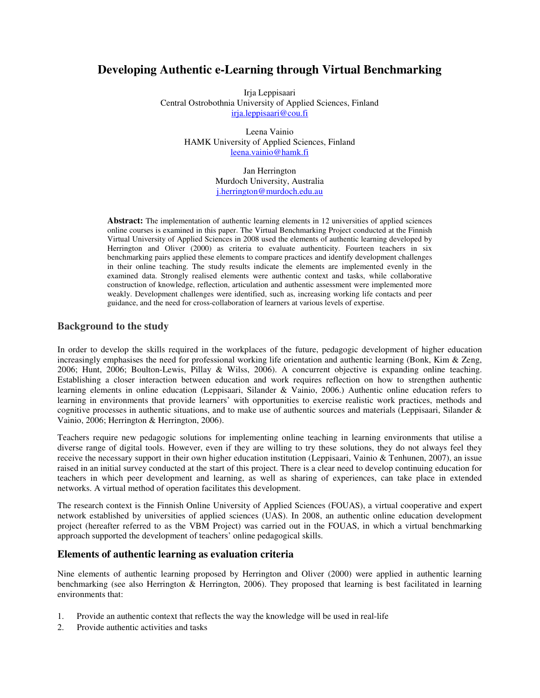# **Developing Authentic e-Learning through Virtual Benchmarking**

Irja Leppisaari Central Ostrobothnia University of Applied Sciences, Finland irja.leppisaari@cou.fi

> Leena Vainio HAMK University of Applied Sciences, Finland leena.vainio@hamk.fi

> > Jan Herrington Murdoch University, Australia j.herrington@murdoch.edu.au

**Abstract:** The implementation of authentic learning elements in 12 universities of applied sciences online courses is examined in this paper. The Virtual Benchmarking Project conducted at the Finnish Virtual University of Applied Sciences in 2008 used the elements of authentic learning developed by Herrington and Oliver (2000) as criteria to evaluate authenticity. Fourteen teachers in six benchmarking pairs applied these elements to compare practices and identify development challenges in their online teaching. The study results indicate the elements are implemented evenly in the examined data. Strongly realised elements were authentic context and tasks, while collaborative construction of knowledge, reflection, articulation and authentic assessment were implemented more weakly. Development challenges were identified, such as, increasing working life contacts and peer guidance, and the need for cross-collaboration of learners at various levels of expertise.

### **Background to the study**

In order to develop the skills required in the workplaces of the future, pedagogic development of higher education increasingly emphasises the need for professional working life orientation and authentic learning (Bonk, Kim & Zeng, 2006; Hunt, 2006; Boulton-Lewis, Pillay & Wilss, 2006). A concurrent objective is expanding online teaching. Establishing a closer interaction between education and work requires reflection on how to strengthen authentic learning elements in online education (Leppisaari, Silander & Vainio, 2006.) Authentic online education refers to learning in environments that provide learners' with opportunities to exercise realistic work practices, methods and cognitive processes in authentic situations, and to make use of authentic sources and materials (Leppisaari, Silander  $\&$ Vainio, 2006; Herrington & Herrington, 2006).

Teachers require new pedagogic solutions for implementing online teaching in learning environments that utilise a diverse range of digital tools. However, even if they are willing to try these solutions, they do not always feel they receive the necessary support in their own higher education institution (Leppisaari, Vainio & Tenhunen, 2007), an issue raised in an initial survey conducted at the start of this project. There is a clear need to develop continuing education for teachers in which peer development and learning, as well as sharing of experiences, can take place in extended networks. A virtual method of operation facilitates this development.

The research context is the Finnish Online University of Applied Sciences (FOUAS), a virtual cooperative and expert network established by universities of applied sciences (UAS). In 2008, an authentic online education development project (hereafter referred to as the VBM Project) was carried out in the FOUAS, in which a virtual benchmarking approach supported the development of teachers' online pedagogical skills.

# **Elements of authentic learning as evaluation criteria**

Nine elements of authentic learning proposed by Herrington and Oliver (2000) were applied in authentic learning benchmarking (see also Herrington & Herrington, 2006). They proposed that learning is best facilitated in learning environments that:

- 1. Provide an authentic context that reflects the way the knowledge will be used in real-life
- 2. Provide authentic activities and tasks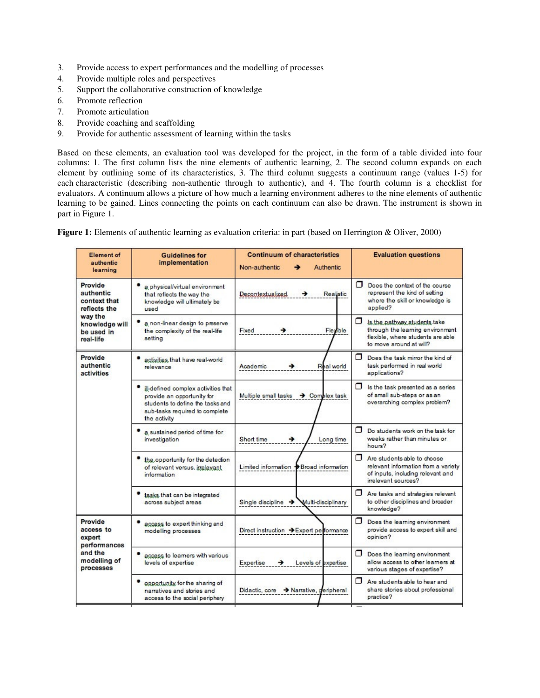- 3. Provide access to expert performances and the modelling of processes
- 4. Provide multiple roles and perspectives
- 5. Support the collaborative construction of knowledge
- 6. Promote reflection
- 7. Promote articulation
- 8. Provide coaching and scaffolding
- 9. Provide for authentic assessment of learning within the tasks

Based on these elements, an evaluation tool was developed for the project, in the form of a table divided into four columns: 1. The first column lists the nine elements of authentic learning, 2. The second column expands on each element by outlining some of its characteristics, 3. The third column suggests a continuum range (values 1-5) for each characteristic (describing non-authentic through to authentic), and 4. The fourth column is a checklist for evaluators. A continuum allows a picture of how much a learning environment adheres to the nine elements of authentic learning to be gained. Lines connecting the points on each continuum can also be drawn. The instrument is shown in part in Figure 1.

**Figure 1:** Elements of authentic learning as evaluation criteria: in part (based on Herrington & Oliver, 2000)

| <b>Element of</b><br>authentic<br>learning                                                                   | <b>Guidelines for</b><br>implementation                                                                                                                 | <b>Continuum of characteristics</b><br>Non-authentic<br>Authentic | <b>Evaluation questions</b>                                                                                                           |
|--------------------------------------------------------------------------------------------------------------|---------------------------------------------------------------------------------------------------------------------------------------------------------|-------------------------------------------------------------------|---------------------------------------------------------------------------------------------------------------------------------------|
| Provide<br>authentic<br>context that<br>reflects the<br>way the<br>knowledge will<br>be used in<br>real-life | a physical/virtual environment<br>that reflects the way the<br>knowledge will ultimately be<br>used                                                     | Decontextualized.<br>Realistic<br>→                               | Π<br>Does the context of the course<br>represent the kind of setting<br>where the skill or knowledge is<br>applied?                   |
|                                                                                                              | a non-linear design to preserve<br>the complexity of the real-life<br>setting                                                                           | Fixed<br>Flexible                                                 | ⊓<br>Is the pathway students take<br>through the learning environment<br>flexible, where students are able<br>to move around at will? |
| Provide<br>authentic<br>activities                                                                           | activities that have real-world<br>relevance                                                                                                            | Academic<br>Real world<br>→                                       | п<br>Does the task mirror the kind of<br>task performed in real world<br>applications?                                                |
|                                                                                                              | ill-defined complex activities that<br>provide an opportunity for<br>students to define the tasks and<br>sub-tasks required to complete<br>the activity | Multiple small tasks → Complex task                               | □<br>Is the task presented as a series<br>of small sub-steps or as an<br>overarching complex problem?                                 |
|                                                                                                              | a sustained period of time for<br>investigation                                                                                                         | →<br>Short time<br>Long time                                      | Π.<br>Do students work on the task for<br>weeks rather than minutes or<br>hours?                                                      |
|                                                                                                              | the opportunity for the detection<br>of relevant versus, imelevant<br>information                                                                       | Limited information +Broad information                            | ⊓<br>Are students able to choose<br>relevant information from a variety<br>of inputs, including relevant and<br>irrelevant sources?   |
|                                                                                                              | tasks that can be integrated<br>across subject areas                                                                                                    | Single discipline $\rightarrow$<br>Multi-disciplinary             | ⊓<br>Are tasks and strategies relevant<br>to other disciplines and broader<br>knowledge?                                              |
| Provide<br>access to<br>expert<br>performances                                                               | access to expert thinking and<br>modelling processes                                                                                                    | Direct instruction → Expert performance                           | ⊓<br>Does the learning environment<br>provide access to expert skill and<br>opinion?                                                  |
| and the<br>modelling of<br>processes                                                                         | access to learners with various<br>levels of expertise                                                                                                  | Expertise<br>Levels of expertise<br>→                             | Π<br>Does the learning environment<br>allow access to other learners at<br>various stages of expertise?                               |
|                                                                                                              | opportunity for the sharing of<br>narratives and stories and<br>access to the social periphery                                                          | Didactic, core > Narrative, peripheral                            | ⊓<br>Are students able to hear and<br>share stories about professional<br>practice?                                                   |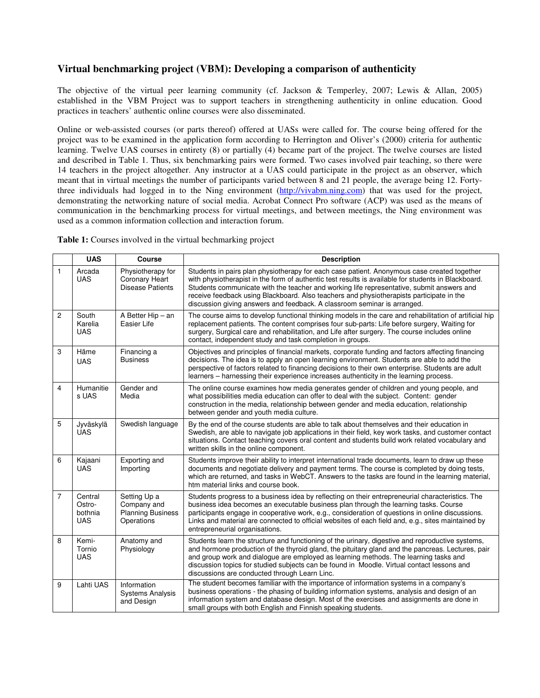# **Virtual benchmarking project (VBM): Developing a comparison of authenticity**

The objective of the virtual peer learning community (cf. Jackson & Temperley, 2007; Lewis & Allan, 2005) established in the VBM Project was to support teachers in strengthening authenticity in online education. Good practices in teachers' authentic online courses were also disseminated.

Online or web-assisted courses (or parts thereof) offered at UASs were called for. The course being offered for the project was to be examined in the application form according to Herrington and Oliver's (2000) criteria for authentic learning. Twelve UAS courses in entirety (8) or partially (4) became part of the project. The twelve courses are listed and described in Table 1. Thus, six benchmarking pairs were formed. Two cases involved pair teaching, so there were 14 teachers in the project altogether. Any instructor at a UAS could participate in the project as an observer, which meant that in virtual meetings the number of participants varied between 8 and 21 people, the average being 12. Fortythree individuals had logged in to the Ning environment (http://vivabm.ning.com) that was used for the project, demonstrating the networking nature of social media. Acrobat Connect Pro software (ACP) was used as the means of communication in the benchmarking process for virtual meetings, and between meetings, the Ning environment was used as a common information collection and interaction forum.

**Table 1:** Courses involved in the virtual bechmarking project

|                | <b>UAS</b>                                 | <b>Course</b>                                                         | <b>Description</b>                                                                                                                                                                                                                                                                                                                                                                                                                                                      |
|----------------|--------------------------------------------|-----------------------------------------------------------------------|-------------------------------------------------------------------------------------------------------------------------------------------------------------------------------------------------------------------------------------------------------------------------------------------------------------------------------------------------------------------------------------------------------------------------------------------------------------------------|
| $\mathbf{1}$   | Arcada<br><b>UAS</b>                       | Physiotherapy for<br>Coronary Heart<br><b>Disease Patients</b>        | Students in pairs plan physiotherapy for each case patient. Anonymous case created together<br>with physiotherapist in the form of authentic test results is available for students in Blackboard.<br>Students communicate with the teacher and working life representative, submit answers and<br>receive feedback using Blackboard. Also teachers and physiotherapists participate in the<br>discussion giving answers and feedback. A classroom seminar is arranged. |
| $\overline{c}$ | South<br>Karelia<br><b>UAS</b>             | A Better Hip - an<br>Easier Life                                      | The course aims to develop functional thinking models in the care and rehabilitation of artificial hip<br>replacement patients. The content comprises four sub-parts: Life before surgery, Waiting for<br>surgery, Surgical care and rehabilitation, and Life after surgery. The course includes online<br>contact, independent study and task completion in groups.                                                                                                    |
| 3              | Häme<br><b>UAS</b>                         | Financing a<br><b>Business</b>                                        | Objectives and principles of financial markets, corporate funding and factors affecting financing<br>decisions. The idea is to apply an open learning environment. Students are able to add the<br>perspective of factors related to financing decisions to their own enterprise. Students are adult<br>learners – harnessing their experience increases authenticity in the learning process.                                                                          |
| 4              | Humanitie<br>s UAS                         | Gender and<br>Media                                                   | The online course examines how media generates gender of children and young people, and<br>what possibilities media education can offer to deal with the subject. Content: gender<br>construction in the media, relationship between gender and media education, relationship<br>between gender and youth media culture.                                                                                                                                                |
| 5              | Jyväskylä<br><b>UAS</b>                    | Swedish language                                                      | By the end of the course students are able to talk about themselves and their education in<br>Swedish, are able to navigate job applications in their field, key work tasks, and customer contact<br>situations. Contact teaching covers oral content and students build work related vocabulary and<br>written skills in the online component.                                                                                                                         |
| 6              | Kajaani<br><b>UAS</b>                      | Exporting and<br>Importing                                            | Students improve their ability to interpret international trade documents, learn to draw up these<br>documents and negotiate delivery and payment terms. The course is completed by doing tests,<br>which are returned, and tasks in WebCT. Answers to the tasks are found in the learning material,<br>htm material links and course book.                                                                                                                             |
| $\overline{7}$ | Central<br>Ostro-<br>bothnia<br><b>UAS</b> | Setting Up a<br>Company and<br><b>Planning Business</b><br>Operations | Students progress to a business idea by reflecting on their entrepreneurial characteristics. The<br>business idea becomes an executable business plan through the learning tasks. Course<br>participants engage in cooperative work, e.g., consideration of questions in online discussions.<br>Links and material are connected to official websites of each field and, e.g., sites maintained by<br>entrepreneurial organisations.                                    |
| 8              | Kemi-<br>Tornio<br><b>UAS</b>              | Anatomy and<br>Physiology                                             | Students learn the structure and functioning of the urinary, digestive and reproductive systems,<br>and hormone production of the thyroid gland, the pituitary gland and the pancreas. Lectures, pair<br>and group work and dialogue are employed as learning methods. The learning tasks and<br>discussion topics for studied subjects can be found in Moodle. Virtual contact lessons and<br>discussions are conducted through Learn Linc.                            |
| 9              | Lahti UAS                                  | Information<br><b>Systems Analysis</b><br>and Design                  | The student becomes familiar with the importance of information systems in a company's<br>business operations - the phasing of building information systems, analysis and design of an<br>information system and database design. Most of the exercises and assignments are done in<br>small groups with both English and Finnish speaking students.                                                                                                                    |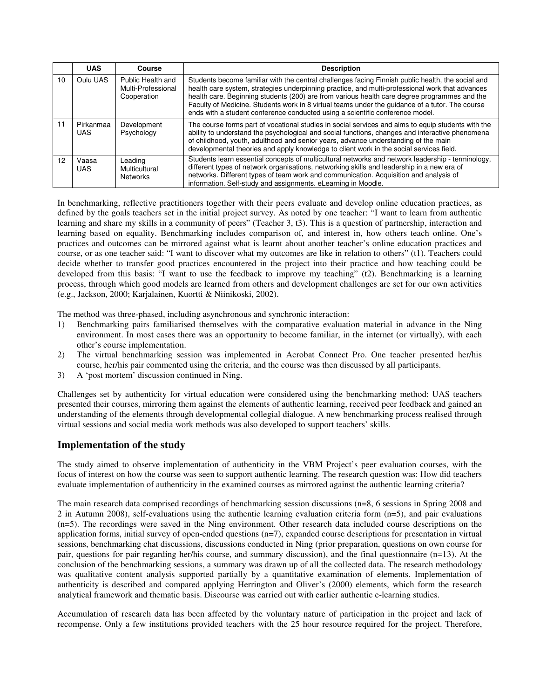|    | <b>UAS</b>        | Course                                                 | <b>Description</b>                                                                                                                                                                                                                                                                                                                                                                                                                                                                       |
|----|-------------------|--------------------------------------------------------|------------------------------------------------------------------------------------------------------------------------------------------------------------------------------------------------------------------------------------------------------------------------------------------------------------------------------------------------------------------------------------------------------------------------------------------------------------------------------------------|
| 10 | Oulu UAS          | Public Health and<br>Multi-Professional<br>Cooperation | Students become familiar with the central challenges facing Finnish public health, the social and<br>health care system, strategies underpinning practice, and multi-professional work that advances<br>health care. Beginning students (200) are from various health care degree programmes and the<br>Faculty of Medicine. Students work in 8 virtual teams under the guidance of a tutor. The course<br>ends with a student conference conducted using a scientific conference model. |
| 11 | Pirkanmaa<br>UAS. | Development<br>Psychology                              | The course forms part of vocational studies in social services and aims to equip students with the<br>ability to understand the psychological and social functions, changes and interactive phenomena<br>of childhood, youth, adulthood and senior years, advance understanding of the main<br>developmental theories and apply knowledge to client work in the social services field.                                                                                                   |
| 12 | Vaasa<br>UAS.     | Leading<br>Multicultural<br><b>Networks</b>            | Students learn essential concepts of multicultural networks and network leadership - terminology,<br>different types of network organisations, networking skills and leadership in a new era of<br>networks. Different types of team work and communication. Acquisition and analysis of<br>information. Self-study and assignments. eLearning in Moodle.                                                                                                                                |

In benchmarking, reflective practitioners together with their peers evaluate and develop online education practices, as defined by the goals teachers set in the initial project survey. As noted by one teacher: "I want to learn from authentic learning and share my skills in a community of peers" (Teacher 3, t3). This is a question of partnership, interaction and learning based on equality. Benchmarking includes comparison of, and interest in, how others teach online. One's practices and outcomes can be mirrored against what is learnt about another teacher's online education practices and course, or as one teacher said: "I want to discover what my outcomes are like in relation to others" (t1). Teachers could decide whether to transfer good practices encountered in the project into their practice and how teaching could be developed from this basis: "I want to use the feedback to improve my teaching" (t2). Benchmarking is a learning process, through which good models are learned from others and development challenges are set for our own activities (e.g., Jackson, 2000; Karjalainen, Kuortti & Niinikoski, 2002).

The method was three-phased, including asynchronous and synchronic interaction:

- 1) Benchmarking pairs familiarised themselves with the comparative evaluation material in advance in the Ning environment. In most cases there was an opportunity to become familiar, in the internet (or virtually), with each other's course implementation.
- 2) The virtual benchmarking session was implemented in Acrobat Connect Pro. One teacher presented her/his course, her/his pair commented using the criteria, and the course was then discussed by all participants.
- 3) A 'post mortem' discussion continued in Ning.

Challenges set by authenticity for virtual education were considered using the benchmarking method: UAS teachers presented their courses, mirroring them against the elements of authentic learning, received peer feedback and gained an understanding of the elements through developmental collegial dialogue. A new benchmarking process realised through virtual sessions and social media work methods was also developed to support teachers' skills.

# **Implementation of the study**

The study aimed to observe implementation of authenticity in the VBM Project's peer evaluation courses, with the focus of interest on how the course was seen to support authentic learning. The research question was: How did teachers evaluate implementation of authenticity in the examined courses as mirrored against the authentic learning criteria?

The main research data comprised recordings of benchmarking session discussions (n=8, 6 sessions in Spring 2008 and 2 in Autumn 2008), self-evaluations using the authentic learning evaluation criteria form (n=5), and pair evaluations (n=5). The recordings were saved in the Ning environment. Other research data included course descriptions on the application forms, initial survey of open-ended questions (n=7), expanded course descriptions for presentation in virtual sessions, benchmarking chat discussions, discussions conducted in Ning (prior preparation, questions on own course for pair, questions for pair regarding her/his course, and summary discussion), and the final questionnaire (n=13). At the conclusion of the benchmarking sessions, a summary was drawn up of all the collected data. The research methodology was qualitative content analysis supported partially by a quantitative examination of elements. Implementation of authenticity is described and compared applying Herrington and Oliver's (2000) elements, which form the research analytical framework and thematic basis. Discourse was carried out with earlier authentic e-learning studies.

Accumulation of research data has been affected by the voluntary nature of participation in the project and lack of recompense. Only a few institutions provided teachers with the 25 hour resource required for the project. Therefore,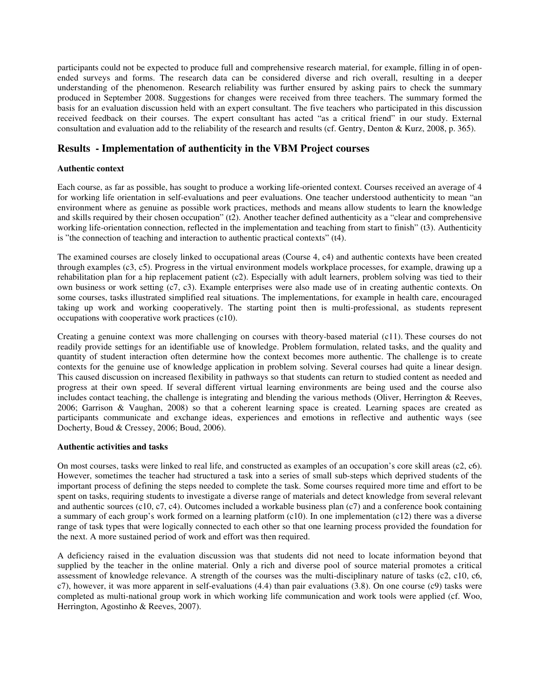participants could not be expected to produce full and comprehensive research material, for example, filling in of openended surveys and forms. The research data can be considered diverse and rich overall, resulting in a deeper understanding of the phenomenon. Research reliability was further ensured by asking pairs to check the summary produced in September 2008. Suggestions for changes were received from three teachers. The summary formed the basis for an evaluation discussion held with an expert consultant. The five teachers who participated in this discussion received feedback on their courses. The expert consultant has acted "as a critical friend" in our study. External consultation and evaluation add to the reliability of the research and results (cf. Gentry, Denton & Kurz, 2008, p. 365).

# **Results - Implementation of authenticity in the VBM Project courses**

### **Authentic context**

Each course, as far as possible, has sought to produce a working life-oriented context. Courses received an average of 4 for working life orientation in self-evaluations and peer evaluations. One teacher understood authenticity to mean "an environment where as genuine as possible work practices, methods and means allow students to learn the knowledge and skills required by their chosen occupation" (t2). Another teacher defined authenticity as a "clear and comprehensive working life-orientation connection, reflected in the implementation and teaching from start to finish" (t3). Authenticity is "the connection of teaching and interaction to authentic practical contexts" (t4).

The examined courses are closely linked to occupational areas (Course 4, c4) and authentic contexts have been created through examples (c3, c5). Progress in the virtual environment models workplace processes, for example, drawing up a rehabilitation plan for a hip replacement patient (c2). Especially with adult learners, problem solving was tied to their own business or work setting (c7, c3). Example enterprises were also made use of in creating authentic contexts. On some courses, tasks illustrated simplified real situations. The implementations, for example in health care, encouraged taking up work and working cooperatively. The starting point then is multi-professional, as students represent occupations with cooperative work practices (c10).

Creating a genuine context was more challenging on courses with theory-based material (c11). These courses do not readily provide settings for an identifiable use of knowledge. Problem formulation, related tasks, and the quality and quantity of student interaction often determine how the context becomes more authentic. The challenge is to create contexts for the genuine use of knowledge application in problem solving. Several courses had quite a linear design. This caused discussion on increased flexibility in pathways so that students can return to studied content as needed and progress at their own speed. If several different virtual learning environments are being used and the course also includes contact teaching, the challenge is integrating and blending the various methods (Oliver, Herrington & Reeves, 2006; Garrison & Vaughan, 2008) so that a coherent learning space is created. Learning spaces are created as participants communicate and exchange ideas, experiences and emotions in reflective and authentic ways (see Docherty, Boud & Cressey, 2006; Boud, 2006).

### **Authentic activities and tasks**

On most courses, tasks were linked to real life, and constructed as examples of an occupation's core skill areas  $(c2, c6)$ . However, sometimes the teacher had structured a task into a series of small sub-steps which deprived students of the important process of defining the steps needed to complete the task. Some courses required more time and effort to be spent on tasks, requiring students to investigate a diverse range of materials and detect knowledge from several relevant and authentic sources (c10, c7, c4). Outcomes included a workable business plan (c7) and a conference book containing a summary of each group's work formed on a learning platform (c10). In one implementation (c12) there was a diverse range of task types that were logically connected to each other so that one learning process provided the foundation for the next. A more sustained period of work and effort was then required.

A deficiency raised in the evaluation discussion was that students did not need to locate information beyond that supplied by the teacher in the online material. Only a rich and diverse pool of source material promotes a critical assessment of knowledge relevance. A strength of the courses was the multi-disciplinary nature of tasks (c2, c10, c6, c7), however, it was more apparent in self-evaluations (4.4) than pair evaluations (3.8). On one course (c9) tasks were completed as multi-national group work in which working life communication and work tools were applied (cf. Woo, Herrington, Agostinho & Reeves, 2007).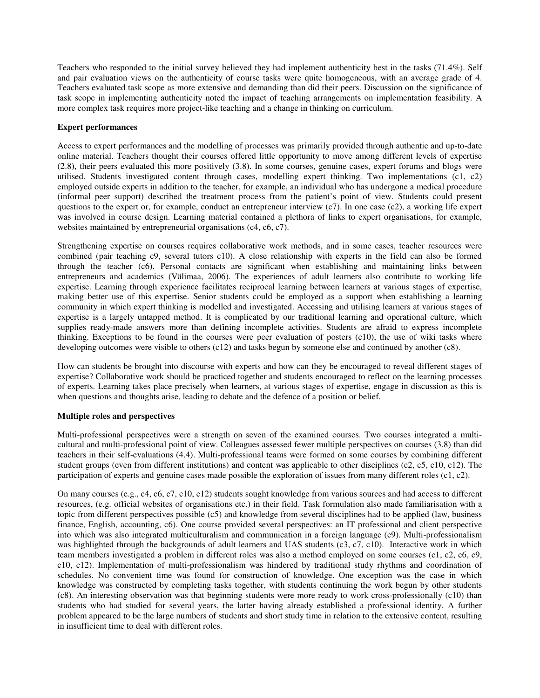Teachers who responded to the initial survey believed they had implement authenticity best in the tasks (71.4%). Self and pair evaluation views on the authenticity of course tasks were quite homogeneous, with an average grade of 4. Teachers evaluated task scope as more extensive and demanding than did their peers. Discussion on the significance of task scope in implementing authenticity noted the impact of teaching arrangements on implementation feasibility. A more complex task requires more project-like teaching and a change in thinking on curriculum.

### **Expert performances**

Access to expert performances and the modelling of processes was primarily provided through authentic and up-to-date online material. Teachers thought their courses offered little opportunity to move among different levels of expertise (2.8), their peers evaluated this more positively (3.8). In some courses, genuine cases, expert forums and blogs were utilised. Students investigated content through cases, modelling expert thinking. Two implementations (c1, c2) employed outside experts in addition to the teacher, for example, an individual who has undergone a medical procedure (informal peer support) described the treatment process from the patient's point of view. Students could present questions to the expert or, for example, conduct an entrepreneur interview  $(c7)$ . In one case  $(c2)$ , a working life expert was involved in course design. Learning material contained a plethora of links to expert organisations, for example, websites maintained by entrepreneurial organisations (c4, c6, c7).

Strengthening expertise on courses requires collaborative work methods, and in some cases, teacher resources were combined (pair teaching c9, several tutors c10). A close relationship with experts in the field can also be formed through the teacher (c6). Personal contacts are significant when establishing and maintaining links between entrepreneurs and academics (Välimaa, 2006). The experiences of adult learners also contribute to working life expertise. Learning through experience facilitates reciprocal learning between learners at various stages of expertise, making better use of this expertise. Senior students could be employed as a support when establishing a learning community in which expert thinking is modelled and investigated. Accessing and utilising learners at various stages of expertise is a largely untapped method. It is complicated by our traditional learning and operational culture, which supplies ready-made answers more than defining incomplete activities. Students are afraid to express incomplete thinking. Exceptions to be found in the courses were peer evaluation of posters (c10), the use of wiki tasks where developing outcomes were visible to others (c12) and tasks begun by someone else and continued by another (c8).

How can students be brought into discourse with experts and how can they be encouraged to reveal different stages of expertise? Collaborative work should be practiced together and students encouraged to reflect on the learning processes of experts. Learning takes place precisely when learners, at various stages of expertise, engage in discussion as this is when questions and thoughts arise, leading to debate and the defence of a position or belief.

#### **Multiple roles and perspectives**

Multi-professional perspectives were a strength on seven of the examined courses. Two courses integrated a multicultural and multi-professional point of view. Colleagues assessed fewer multiple perspectives on courses (3.8) than did teachers in their self-evaluations (4.4). Multi-professional teams were formed on some courses by combining different student groups (even from different institutions) and content was applicable to other disciplines (c2, c5, c10, c12). The participation of experts and genuine cases made possible the exploration of issues from many different roles (c1, c2).

On many courses (e.g., c4, c6, c7, c10, c12) students sought knowledge from various sources and had access to different resources, (e.g. official websites of organisations etc.) in their field. Task formulation also made familiarisation with a topic from different perspectives possible (c5) and knowledge from several disciplines had to be applied (law, business finance, English, accounting, c6). One course provided several perspectives: an IT professional and client perspective into which was also integrated multiculturalism and communication in a foreign language (c9). Multi-professionalism was highlighted through the backgrounds of adult learners and UAS students (c3, c7, c10). Interactive work in which team members investigated a problem in different roles was also a method employed on some courses (c1, c2, c6, c9, c10, c12). Implementation of multi-professionalism was hindered by traditional study rhythms and coordination of schedules. No convenient time was found for construction of knowledge. One exception was the case in which knowledge was constructed by completing tasks together, with students continuing the work begun by other students (c8). An interesting observation was that beginning students were more ready to work cross-professionally (c10) than students who had studied for several years, the latter having already established a professional identity. A further problem appeared to be the large numbers of students and short study time in relation to the extensive content, resulting in insufficient time to deal with different roles.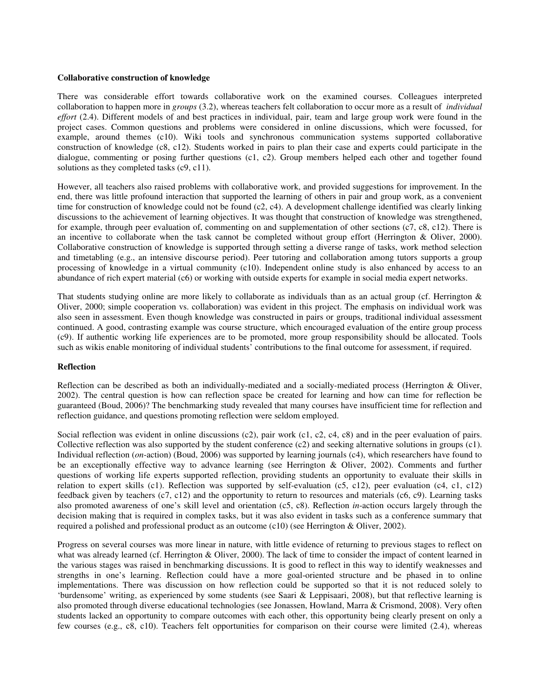### **Collaborative construction of knowledge**

There was considerable effort towards collaborative work on the examined courses. Colleagues interpreted collaboration to happen more in *groups* (3.2), whereas teachers felt collaboration to occur more as a result of *individual effort* (2.4). Different models of and best practices in individual, pair, team and large group work were found in the project cases. Common questions and problems were considered in online discussions, which were focussed, for example, around themes (c10). Wiki tools and synchronous communication systems supported collaborative construction of knowledge (c8, c12). Students worked in pairs to plan their case and experts could participate in the dialogue, commenting or posing further questions (c1, c2). Group members helped each other and together found solutions as they completed tasks (c9, c11).

However, all teachers also raised problems with collaborative work, and provided suggestions for improvement. In the end, there was little profound interaction that supported the learning of others in pair and group work, as a convenient time for construction of knowledge could not be found (c2, c4). A development challenge identified was clearly linking discussions to the achievement of learning objectives. It was thought that construction of knowledge was strengthened, for example, through peer evaluation of, commenting on and supplementation of other sections (c7, c8, c12). There is an incentive to collaborate when the task cannot be completed without group effort (Herrington & Oliver, 2000). Collaborative construction of knowledge is supported through setting a diverse range of tasks, work method selection and timetabling (e.g., an intensive discourse period). Peer tutoring and collaboration among tutors supports a group processing of knowledge in a virtual community (c10). Independent online study is also enhanced by access to an abundance of rich expert material (c6) or working with outside experts for example in social media expert networks.

That students studying online are more likely to collaborate as individuals than as an actual group (cf. Herrington  $\&$ Oliver, 2000; simple cooperation vs. collaboration) was evident in this project. The emphasis on individual work was also seen in assessment. Even though knowledge was constructed in pairs or groups, traditional individual assessment continued. A good, contrasting example was course structure, which encouraged evaluation of the entire group process (c9). If authentic working life experiences are to be promoted, more group responsibility should be allocated. Tools such as wikis enable monitoring of individual students' contributions to the final outcome for assessment, if required.

#### **Reflection**

Reflection can be described as both an individually-mediated and a socially-mediated process (Herrington & Oliver, 2002). The central question is how can reflection space be created for learning and how can time for reflection be guaranteed (Boud, 2006)? The benchmarking study revealed that many courses have insufficient time for reflection and reflection guidance, and questions promoting reflection were seldom employed.

Social reflection was evident in online discussions (c2), pair work (c1, c2, c4, c8) and in the peer evaluation of pairs. Collective reflection was also supported by the student conference (c2) and seeking alternative solutions in groups (c1). Individual reflection (*on*-action) (Boud, 2006) was supported by learning journals (c4), which researchers have found to be an exceptionally effective way to advance learning (see Herrington & Oliver, 2002). Comments and further questions of working life experts supported reflection, providing students an opportunity to evaluate their skills in relation to expert skills (c1). Reflection was supported by self-evaluation (c5, c12), peer evaluation (c4, c1, c12) feedback given by teachers (c7, c12) and the opportunity to return to resources and materials (c6, c9). Learning tasks also promoted awareness of one's skill level and orientation (c5, c8). Reflection *in*-action occurs largely through the decision making that is required in complex tasks, but it was also evident in tasks such as a conference summary that required a polished and professional product as an outcome (c10) (see Herrington & Oliver, 2002).

Progress on several courses was more linear in nature, with little evidence of returning to previous stages to reflect on what was already learned (cf. Herrington & Oliver, 2000). The lack of time to consider the impact of content learned in the various stages was raised in benchmarking discussions. It is good to reflect in this way to identify weaknesses and strengths in one's learning. Reflection could have a more goal-oriented structure and be phased in to online implementations. There was discussion on how reflection could be supported so that it is not reduced solely to 'burdensome' writing, as experienced by some students (see Saari & Leppisaari, 2008), but that reflective learning is also promoted through diverse educational technologies (see Jonassen, Howland, Marra & Crismond, 2008). Very often students lacked an opportunity to compare outcomes with each other, this opportunity being clearly present on only a few courses (e.g., c8, c10). Teachers felt opportunities for comparison on their course were limited (2.4), whereas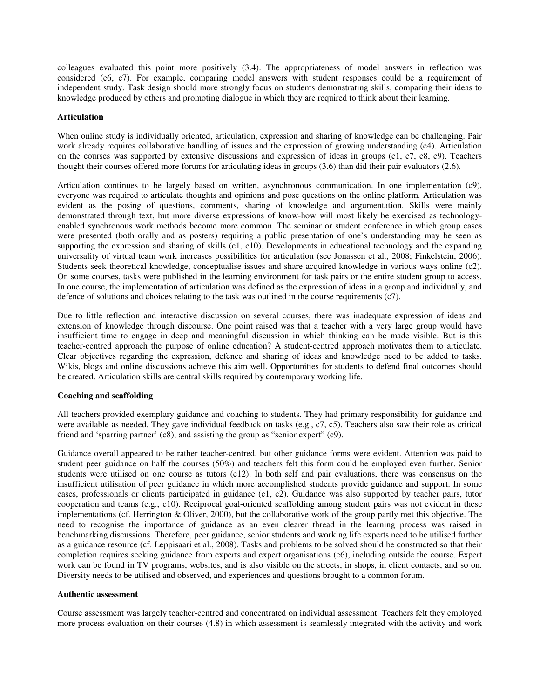colleagues evaluated this point more positively (3.4). The appropriateness of model answers in reflection was considered (c6, c7). For example, comparing model answers with student responses could be a requirement of independent study. Task design should more strongly focus on students demonstrating skills, comparing their ideas to knowledge produced by others and promoting dialogue in which they are required to think about their learning.

#### **Articulation**

When online study is individually oriented, articulation, expression and sharing of knowledge can be challenging. Pair work already requires collaborative handling of issues and the expression of growing understanding (c4). Articulation on the courses was supported by extensive discussions and expression of ideas in groups (c1, c7, c8, c9). Teachers thought their courses offered more forums for articulating ideas in groups (3.6) than did their pair evaluators (2.6).

Articulation continues to be largely based on written, asynchronous communication. In one implementation (c9), everyone was required to articulate thoughts and opinions and pose questions on the online platform. Articulation was evident as the posing of questions, comments, sharing of knowledge and argumentation. Skills were mainly demonstrated through text, but more diverse expressions of know-how will most likely be exercised as technologyenabled synchronous work methods become more common. The seminar or student conference in which group cases were presented (both orally and as posters) requiring a public presentation of one's understanding may be seen as supporting the expression and sharing of skills (c1, c10). Developments in educational technology and the expanding universality of virtual team work increases possibilities for articulation (see Jonassen et al., 2008; Finkelstein, 2006). Students seek theoretical knowledge, conceptualise issues and share acquired knowledge in various ways online (c2). On some courses, tasks were published in the learning environment for task pairs or the entire student group to access. In one course, the implementation of articulation was defined as the expression of ideas in a group and individually, and defence of solutions and choices relating to the task was outlined in the course requirements (c7).

Due to little reflection and interactive discussion on several courses, there was inadequate expression of ideas and extension of knowledge through discourse. One point raised was that a teacher with a very large group would have insufficient time to engage in deep and meaningful discussion in which thinking can be made visible. But is this teacher-centred approach the purpose of online education? A student-centred approach motivates them to articulate. Clear objectives regarding the expression, defence and sharing of ideas and knowledge need to be added to tasks. Wikis, blogs and online discussions achieve this aim well. Opportunities for students to defend final outcomes should be created. Articulation skills are central skills required by contemporary working life.

#### **Coaching and scaffolding**

All teachers provided exemplary guidance and coaching to students. They had primary responsibility for guidance and were available as needed. They gave individual feedback on tasks (e.g., c7, c5). Teachers also saw their role as critical friend and 'sparring partner' (c8), and assisting the group as "senior expert" (c9).

Guidance overall appeared to be rather teacher-centred, but other guidance forms were evident. Attention was paid to student peer guidance on half the courses (50%) and teachers felt this form could be employed even further. Senior students were utilised on one course as tutors (c12). In both self and pair evaluations, there was consensus on the insufficient utilisation of peer guidance in which more accomplished students provide guidance and support. In some cases, professionals or clients participated in guidance (c1, c2). Guidance was also supported by teacher pairs, tutor cooperation and teams (e.g., c10). Reciprocal goal-oriented scaffolding among student pairs was not evident in these implementations (cf. Herrington & Oliver, 2000), but the collaborative work of the group partly met this objective. The need to recognise the importance of guidance as an even clearer thread in the learning process was raised in benchmarking discussions. Therefore, peer guidance, senior students and working life experts need to be utilised further as a guidance resource (cf. Leppisaari et al., 2008). Tasks and problems to be solved should be constructed so that their completion requires seeking guidance from experts and expert organisations (c6), including outside the course. Expert work can be found in TV programs, websites, and is also visible on the streets, in shops, in client contacts, and so on. Diversity needs to be utilised and observed, and experiences and questions brought to a common forum.

#### **Authentic assessment**

Course assessment was largely teacher-centred and concentrated on individual assessment. Teachers felt they employed more process evaluation on their courses (4.8) in which assessment is seamlessly integrated with the activity and work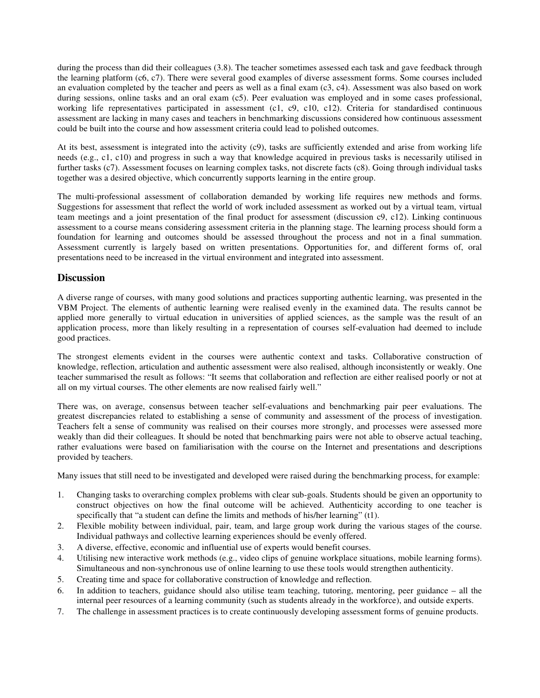during the process than did their colleagues (3.8). The teacher sometimes assessed each task and gave feedback through the learning platform (c6, c7). There were several good examples of diverse assessment forms. Some courses included an evaluation completed by the teacher and peers as well as a final exam (c3, c4). Assessment was also based on work during sessions, online tasks and an oral exam (c5). Peer evaluation was employed and in some cases professional, working life representatives participated in assessment (c1, c9, c10, c12). Criteria for standardised continuous assessment are lacking in many cases and teachers in benchmarking discussions considered how continuous assessment could be built into the course and how assessment criteria could lead to polished outcomes.

At its best, assessment is integrated into the activity (c9), tasks are sufficiently extended and arise from working life needs (e.g., c1, c10) and progress in such a way that knowledge acquired in previous tasks is necessarily utilised in further tasks (c7). Assessment focuses on learning complex tasks, not discrete facts (c8). Going through individual tasks together was a desired objective, which concurrently supports learning in the entire group.

The multi-professional assessment of collaboration demanded by working life requires new methods and forms. Suggestions for assessment that reflect the world of work included assessment as worked out by a virtual team, virtual team meetings and a joint presentation of the final product for assessment (discussion c9, c12). Linking continuous assessment to a course means considering assessment criteria in the planning stage. The learning process should form a foundation for learning and outcomes should be assessed throughout the process and not in a final summation. Assessment currently is largely based on written presentations. Opportunities for, and different forms of, oral presentations need to be increased in the virtual environment and integrated into assessment.

### **Discussion**

A diverse range of courses, with many good solutions and practices supporting authentic learning, was presented in the VBM Project. The elements of authentic learning were realised evenly in the examined data. The results cannot be applied more generally to virtual education in universities of applied sciences, as the sample was the result of an application process, more than likely resulting in a representation of courses self-evaluation had deemed to include good practices.

The strongest elements evident in the courses were authentic context and tasks. Collaborative construction of knowledge, reflection, articulation and authentic assessment were also realised, although inconsistently or weakly. One teacher summarised the result as follows: "It seems that collaboration and reflection are either realised poorly or not at all on my virtual courses. The other elements are now realised fairly well."

There was, on average, consensus between teacher self-evaluations and benchmarking pair peer evaluations. The greatest discrepancies related to establishing a sense of community and assessment of the process of investigation. Teachers felt a sense of community was realised on their courses more strongly, and processes were assessed more weakly than did their colleagues. It should be noted that benchmarking pairs were not able to observe actual teaching, rather evaluations were based on familiarisation with the course on the Internet and presentations and descriptions provided by teachers.

Many issues that still need to be investigated and developed were raised during the benchmarking process, for example:

- 1. Changing tasks to overarching complex problems with clear sub-goals. Students should be given an opportunity to construct objectives on how the final outcome will be achieved. Authenticity according to one teacher is specifically that "a student can define the limits and methods of his/her learning" (t1).
- 2. Flexible mobility between individual, pair, team, and large group work during the various stages of the course. Individual pathways and collective learning experiences should be evenly offered.
- 3. A diverse, effective, economic and influential use of experts would benefit courses.
- 4. Utilising new interactive work methods (e.g., video clips of genuine workplace situations, mobile learning forms). Simultaneous and non-synchronous use of online learning to use these tools would strengthen authenticity.
- 5. Creating time and space for collaborative construction of knowledge and reflection.
- 6. In addition to teachers, guidance should also utilise team teaching, tutoring, mentoring, peer guidance all the internal peer resources of a learning community (such as students already in the workforce), and outside experts.
- 7. The challenge in assessment practices is to create continuously developing assessment forms of genuine products.